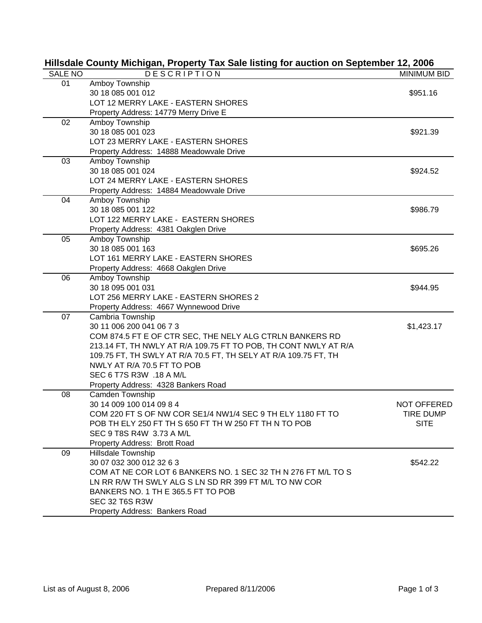|                | Hillsuale County Michigan, Property Tax Sale iisting for auction on September 12, 2006 |                    |
|----------------|----------------------------------------------------------------------------------------|--------------------|
| <b>SALE NO</b> | <b>DESCRIPTION</b>                                                                     | <b>MINIMUM BID</b> |
| 01             | Amboy Township                                                                         |                    |
|                | 30 18 085 001 012                                                                      | \$951.16           |
|                | LOT 12 MERRY LAKE - EASTERN SHORES                                                     |                    |
|                | Property Address: 14779 Merry Drive E                                                  |                    |
| 02             | Amboy Township                                                                         |                    |
|                | 30 18 085 001 023                                                                      | \$921.39           |
|                | LOT 23 MERRY LAKE - EASTERN SHORES                                                     |                    |
|                | Property Address: 14888 Meadowvale Drive                                               |                    |
| 03             | Amboy Township                                                                         |                    |
|                | 30 18 085 001 024                                                                      | \$924.52           |
|                | LOT 24 MERRY LAKE - EASTERN SHORES                                                     |                    |
|                | Property Address: 14884 Meadowvale Drive                                               |                    |
| 04             | Amboy Township                                                                         |                    |
|                | 30 18 085 001 122                                                                      | \$986.79           |
|                | LOT 122 MERRY LAKE - EASTERN SHORES                                                    |                    |
|                | Property Address: 4381 Oakglen Drive                                                   |                    |
| 05             | Amboy Township                                                                         |                    |
|                | 30 18 085 001 163                                                                      | \$695.26           |
|                | LOT 161 MERRY LAKE - EASTERN SHORES                                                    |                    |
|                | Property Address: 4668 Oakglen Drive                                                   |                    |
| 06             | Amboy Township                                                                         |                    |
|                | 30 18 095 001 031                                                                      | \$944.95           |
|                | LOT 256 MERRY LAKE - EASTERN SHORES 2                                                  |                    |
|                | Property Address: 4667 Wynnewood Drive                                                 |                    |
| 07             | Cambria Township                                                                       |                    |
|                | 30 11 006 200 041 06 7 3                                                               | \$1,423.17         |
|                | COM 874.5 FT E OF CTR SEC, THE NELY ALG CTRLN BANKERS RD                               |                    |
|                | 213.14 FT, TH NWLY AT R/A 109.75 FT TO POB, TH CONT NWLY AT R/A                        |                    |
|                | 109.75 FT, TH SWLY AT R/A 70.5 FT, TH SELY AT R/A 109.75 FT, TH                        |                    |
|                | NWLY AT R/A 70.5 FT TO POB                                                             |                    |
|                | SEC 6 T7S R3W .18 A M/L                                                                |                    |
|                | Property Address: 4328 Bankers Road                                                    |                    |
| 08             | Camden Township                                                                        |                    |
|                | 30 14 009 100 014 09 8 4                                                               | NOT OFFERED        |
|                | COM 220 FT S OF NW COR SE1/4 NW1/4 SEC 9 TH ELY 1180 FT TO                             | TIRE DUMP          |
|                | POB TH ELY 250 FT TH S 650 FT TH W 250 FT TH N TO POB                                  | <b>SITE</b>        |
|                | SEC 9 T8S R4W 3.73 A M/L                                                               |                    |
|                | Property Address: Brott Road                                                           |                    |
| 09             | Hillsdale Township                                                                     |                    |
|                | 30 07 032 300 012 32 6 3                                                               | \$542.22           |
|                | COM AT NE COR LOT 6 BANKERS NO. 1 SEC 32 TH N 276 FT M/L TO S                          |                    |
|                | LN RR R/W TH SWLY ALG S LN SD RR 399 FT M/L TO NW COR                                  |                    |
|                | BANKERS NO. 1 TH E 365.5 FT TO POB                                                     |                    |
|                | SEC 32 T6S R3W                                                                         |                    |
|                | Property Address: Bankers Road                                                         |                    |
|                |                                                                                        |                    |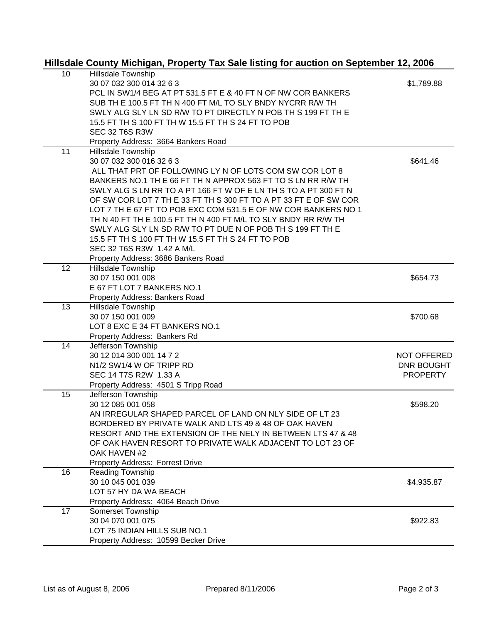## **Hillsdale County Michigan, Property Tax Sale listing for auction on September 12, 2006**

| 10 | Hillsdale Township                                               |                    |
|----|------------------------------------------------------------------|--------------------|
|    | 30 07 032 300 014 32 6 3                                         | \$1,789.88         |
|    | PCL IN SW1/4 BEG AT PT 531.5 FT E & 40 FT N OF NW COR BANKERS    |                    |
|    | SUB TH E 100.5 FT TH N 400 FT M/L TO SLY BNDY NYCRR R/W TH       |                    |
|    | SWLY ALG SLY LN SD R/W TO PT DIRECTLY N POB TH S 199 FT TH E     |                    |
|    | 15.5 FT TH S 100 FT TH W 15.5 FT TH S 24 FT TO POB               |                    |
|    | SEC 32 T6S R3W                                                   |                    |
|    | Property Address: 3664 Bankers Road                              |                    |
| 11 | Hillsdale Township                                               |                    |
|    | 30 07 032 300 016 32 6 3                                         | \$641.46           |
|    | ALL THAT PRT OF FOLLOWING LY N OF LOTS COM SW COR LOT 8          |                    |
|    | BANKERS NO.1 TH E 66 FT TH N APPROX 563 FT TO S LN RR R/W TH     |                    |
|    | SWLY ALG S LN RR TO A PT 166 FT W OF E LN TH S TO A PT 300 FT N  |                    |
|    | OF SW COR LOT 7 TH E 33 FT TH S 300 FT TO A PT 33 FT E OF SW COR |                    |
|    | LOT 7 TH E 67 FT TO POB EXC COM 531.5 E OF NW COR BANKERS NO 1   |                    |
|    | TH N 40 FT TH E 100.5 FT TH N 400 FT M/L TO SLY BNDY RR R/W TH   |                    |
|    | SWLY ALG SLY LN SD R/W TO PT DUE N OF POB TH S 199 FT TH E       |                    |
|    | 15.5 FT TH S 100 FT TH W 15.5 FT TH S 24 FT TO POB               |                    |
|    | SEC 32 T6S R3W 1.42 A M/L                                        |                    |
|    | Property Address: 3686 Bankers Road                              |                    |
| 12 | <b>Hillsdale Township</b>                                        |                    |
|    | 30 07 150 001 008                                                | \$654.73           |
|    | E 67 FT LOT 7 BANKERS NO.1                                       |                    |
|    | Property Address: Bankers Road                                   |                    |
| 13 | Hillsdale Township                                               |                    |
|    | 30 07 150 001 009                                                | \$700.68           |
|    | LOT 8 EXC E 34 FT BANKERS NO.1                                   |                    |
|    | Property Address: Bankers Rd                                     |                    |
| 14 | Jefferson Township                                               |                    |
|    | 30 12 014 300 001 14 7 2                                         | <b>NOT OFFERED</b> |
|    | N1/2 SW1/4 W OF TRIPP RD                                         | DNR BOUGHT         |
|    | SEC 14 T7S R2W 1.33 A                                            | <b>PROPERTY</b>    |
|    | Property Address: 4501 S Tripp Road                              |                    |
| 15 | Jefferson Township                                               |                    |
|    | 30 12 085 001 058                                                | \$598.20           |
|    | AN IRREGULAR SHAPED PARCEL OF LAND ON NLY SIDE OF LT 23          |                    |
|    | BORDERED BY PRIVATE WALK AND LTS 49 & 48 OF OAK HAVEN            |                    |
|    | RESORT AND THE EXTENSION OF THE NELY IN BETWEEN LTS 47 & 48      |                    |
|    | OF OAK HAVEN RESORT TO PRIVATE WALK ADJACENT TO LOT 23 OF        |                    |
|    | OAK HAVEN #2                                                     |                    |
|    | Property Address: Forrest Drive                                  |                    |
| 16 | Reading Township                                                 |                    |
|    | 30 10 045 001 039                                                | \$4,935.87         |
|    | LOT 57 HY DA WA BEACH                                            |                    |
|    | Property Address: 4064 Beach Drive                               |                    |
| 17 | Somerset Township                                                |                    |
|    | 30 04 070 001 075                                                | \$922.83           |
|    | LOT 75 INDIAN HILLS SUB NO.1                                     |                    |
|    |                                                                  |                    |
|    | Property Address: 10599 Becker Drive                             |                    |